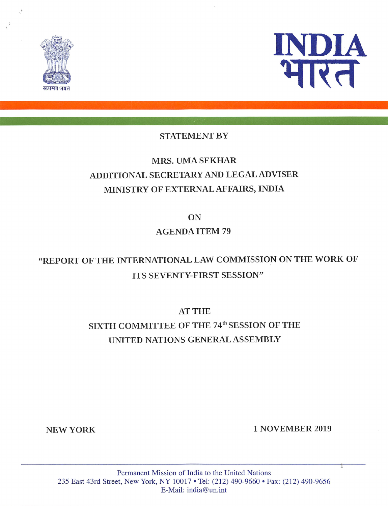



# STATEMENT BY

 $\mathcal{L}^{\text{w}}$ 

# MRS. UMA SEKHAR ADDITIONAL SECRETARY AND LEGAL ADVISER MINISTRY OF EXTERNAL AFFAIRS, INDIA

**ON** 

AGENDA ITEM 79

# "REPORT OF THE INTERNATIONAL LAW COMMISSION ON THE WORK OF ITS SEVENTY-FIRST SESSION"

# AT THE SIXTH COMMITTEE OF THE 74<sup>th</sup> SESSION OF THE UNITED NATIONS GENERAL ASSEMBLY

NEW YORK 1 NOVEMBER 2019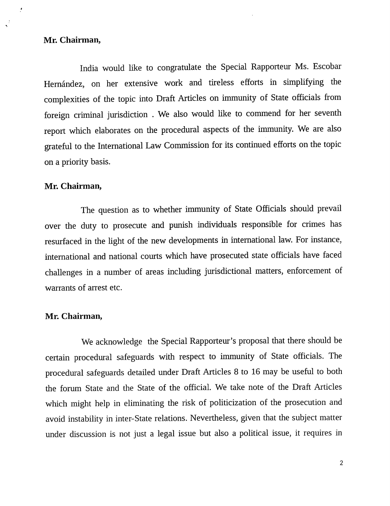### Mr. Chairman,

 $\overline{\mathcal{L}}$ 

India would like to congratulate the Special Rapporteur Ms. Escobar Hernández, on her extensive work and tireless efforts in simplifying the complexities of the topic into Draft Articles on immunity of State officials from foreign criminal jurisdiction . We also would like to commend for her seventh report which elaborates on the procedural aspects of the immunity. We are also grateful to the International Law Commission for its continued efforts on the topic on a priority basis.

### Mr. Chairman,

The question as to whether immunity of State Officials should prevail over the duty to prosecute and punish individuals responsible for crimes has resurfaced in the hght of the new developments in international law. For instance, international and national courts which have prosecuted state officials have faced challenges in a number of areas including jurisdictional matters, enforcement of warrants of arrest etc.

### Mr. Chairman,

We acknowledge the Special Rapporteur's proposal that there should be certain procedural safeguards with respect to immunity of State officials. The procedural safeguards detailed under Draft Articles 8 to 16 may be useful to both the forum State and the State of the official. We take note of the Draft Articles which might help in eliminating the risk of politicization of the prosecution and avoid instability in inter-State relations. Nevertheless, given that the subject matter under discussion is not just a legal issue but also a political issue, it requires in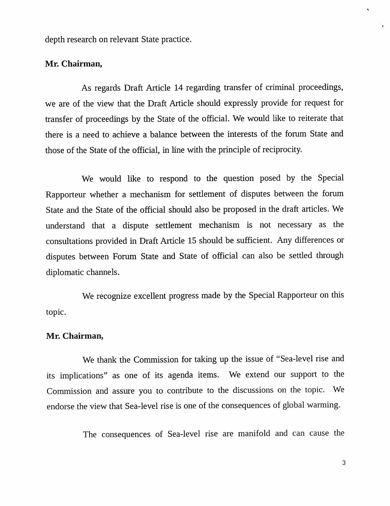depth research on relevant State practice.

## Mr. Chairman,

As regards Draft Article 14 regarding transfer of criminal proceedings, we are of the view that the Draft Article should expressly provide for request for transfer of proceedings by the State of the official. We would like to reiterate that there is a need to achieve a balance between the interests of the forum State and those of the State of the official, in line with the principle of reciprocity.

We would like to respond to the question posed by the Special Rapporteur whether a mechanism for settlement of disputes between the forum State and the State of the official should also be proposed in the draft articles. We understand that a dispute settlement mechanism is not necessary as the consultations provided in Draft Article 15 should be sufficient. Any differences or disputes between Forum State and State of official can also be settled through diplomatic channels.

We recognize excellent progress made by the Special Rapporteur on this topic.

#### Mr. Chairman,

We thank the Commission for taking up the issue of "Sea-level rise and its implications" as one of its agenda items. We extend our support to the Commission and assure you to contribute to the discussions on the topic. We endorse the view that Sea-level rise is one of the consequences of global warming.

The consequences of Sea-level rise are manifold and can cause the

 $\bar{\mathbf{v}}$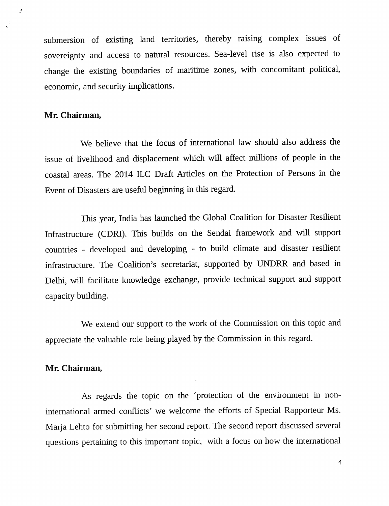submersion of existing land territories, thereby raising complex issues of sovereignty and access to natural resources. Sea-level rise is also expected to change the existing boundaries of maritime zones, with concomitant political, economic, and security implications.

### Mr. Chairman,

 $\mathcal{I}$ 

We believe that the focus of international law should also address the issue of livelihood and displacement which will affect millions of people in the coastal areas. The 2014 ILC Draft Articles on the Protection of Persons in the Event of Disasters are useful beginning in this regard.

This year, India has launched the Global Coalition for Disaster Resihent Infrastructure (CDRI). This builds on the Sendai framework and will support countries - developed and developing - to build climate and disaster resilient infrastructure. The Coalition's secretariat, supported by UNDRR and based in Delhi, will facilitate knowledge exchange, provide technical support and support capacity building.

We extend our support to the work of the Commission on this topic and appreciate the valuable role being played by the Commission in this regard.

#### Mr. Chairman,

As regards the topic on the 'protection of the environment in noninternational armed conflicts' we welcome the efforts of Special Rapporteur Ms. Marja Lehto for submitting her second report. The second report discussed several questions pertaining to this important topic, with a focus on how the international